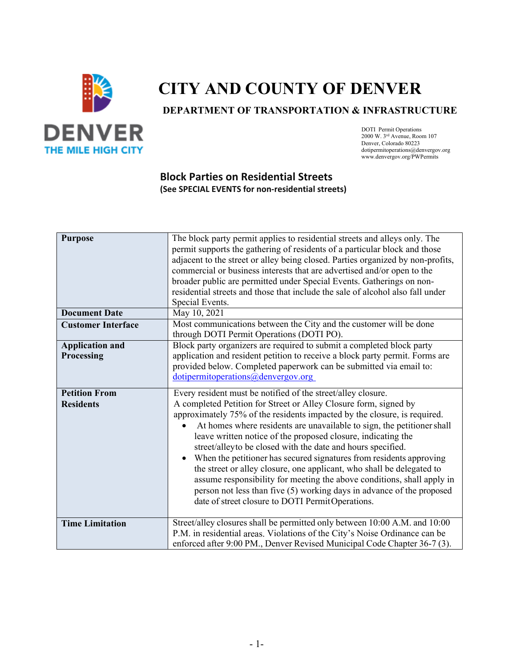

# **CITY AND COUNTY OF DENVER**

**DEPARTMENT OF TRANSPORTATION & INFRASTRUCTURE** 

DOTI Permit Operations 2000 W. 3rd Avenue, Room 107 Denver, Colorado 80223 dotipermitoperations@denvergov.org www.denvergov.org/PWPermits

### **Block Parties on Residential Streets (See SPECIAL EVENTS for non-residential streets)**

| <b>Purpose</b>                           | The block party permit applies to residential streets and alleys only. The<br>permit supports the gathering of residents of a particular block and those<br>adjacent to the street or alley being closed. Parties organized by non-profits,<br>commercial or business interests that are advertised and/or open to the<br>broader public are permitted under Special Events. Gatherings on non-<br>residential streets and those that include the sale of alcohol also fall under<br>Special Events.                                                                                                                                                                                                                                                                                      |
|------------------------------------------|-------------------------------------------------------------------------------------------------------------------------------------------------------------------------------------------------------------------------------------------------------------------------------------------------------------------------------------------------------------------------------------------------------------------------------------------------------------------------------------------------------------------------------------------------------------------------------------------------------------------------------------------------------------------------------------------------------------------------------------------------------------------------------------------|
| <b>Document Date</b>                     | May 10, 2021                                                                                                                                                                                                                                                                                                                                                                                                                                                                                                                                                                                                                                                                                                                                                                              |
| <b>Customer Interface</b>                | Most communications between the City and the customer will be done<br>through DOTI Permit Operations (DOTI PO).                                                                                                                                                                                                                                                                                                                                                                                                                                                                                                                                                                                                                                                                           |
| <b>Application and</b><br>Processing     | Block party organizers are required to submit a completed block party<br>application and resident petition to receive a block party permit. Forms are<br>provided below. Completed paperwork can be submitted via email to:<br>dotipermitoperations@denvergov.org                                                                                                                                                                                                                                                                                                                                                                                                                                                                                                                         |
| <b>Petition From</b><br><b>Residents</b> | Every resident must be notified of the street/alley closure.<br>A completed Petition for Street or Alley Closure form, signed by<br>approximately 75% of the residents impacted by the closure, is required.<br>At homes where residents are unavailable to sign, the petitioner shall<br>leave written notice of the proposed closure, indicating the<br>street/alleyto be closed with the date and hours specified.<br>When the petitioner has secured signatures from residents approving<br>$\bullet$<br>the street or alley closure, one applicant, who shall be delegated to<br>assume responsibility for meeting the above conditions, shall apply in<br>person not less than five (5) working days in advance of the proposed<br>date of street closure to DOTI PermitOperations. |
| <b>Time Limitation</b>                   | Street/alley closures shall be permitted only between 10:00 A.M. and 10:00<br>P.M. in residential areas. Violations of the City's Noise Ordinance can be<br>enforced after 9:00 PM., Denver Revised Municipal Code Chapter 36-7 (3).                                                                                                                                                                                                                                                                                                                                                                                                                                                                                                                                                      |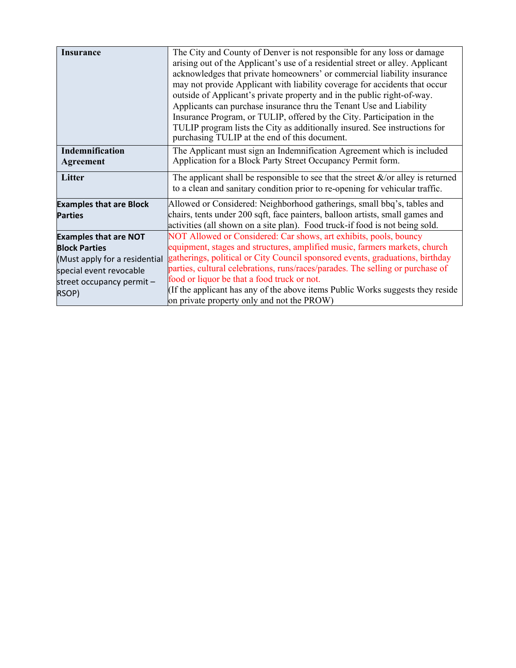| <b>Insurance</b>               | The City and County of Denver is not responsible for any loss or damage              |  |  |
|--------------------------------|--------------------------------------------------------------------------------------|--|--|
|                                | arising out of the Applicant's use of a residential street or alley. Applicant       |  |  |
|                                | acknowledges that private homeowners' or commercial liability insurance              |  |  |
|                                | may not provide Applicant with liability coverage for accidents that occur           |  |  |
|                                | outside of Applicant's private property and in the public right-of-way.              |  |  |
|                                | Applicants can purchase insurance thru the Tenant Use and Liability                  |  |  |
|                                | Insurance Program, or TULIP, offered by the City. Participation in the               |  |  |
|                                | TULIP program lists the City as additionally insured. See instructions for           |  |  |
|                                | purchasing TULIP at the end of this document.                                        |  |  |
| Indemnification                | The Applicant must sign an Indemnification Agreement which is included               |  |  |
| Agreement                      | Application for a Block Party Street Occupancy Permit form.                          |  |  |
| Litter                         | The applicant shall be responsible to see that the street $\&$ /or alley is returned |  |  |
|                                | to a clean and sanitary condition prior to re-opening for vehicular traffic.         |  |  |
| <b>Examples that are Block</b> | Allowed or Considered: Neighborhood gatherings, small bbq's, tables and              |  |  |
| <b>Parties</b>                 | chairs, tents under 200 sqft, face painters, balloon artists, small games and        |  |  |
|                                | activities (all shown on a site plan). Food truck-if food is not being sold.         |  |  |
| <b>Examples that are NOT</b>   | NOT Allowed or Considered: Car shows, art exhibits, pools, bouncy                    |  |  |
| <b>Block Parties</b>           | equipment, stages and structures, amplified music, farmers markets, church           |  |  |
| (Must apply for a residential  | gatherings, political or City Council sponsored events, graduations, birthday        |  |  |
| special event revocable        | parties, cultural celebrations, runs/races/parades. The selling or purchase of       |  |  |
| street occupancy permit -      | food or liquor be that a food truck or not.                                          |  |  |
| RSOP)                          | (If the applicant has any of the above items Public Works suggests they reside       |  |  |
|                                | on private property only and not the PROW)                                           |  |  |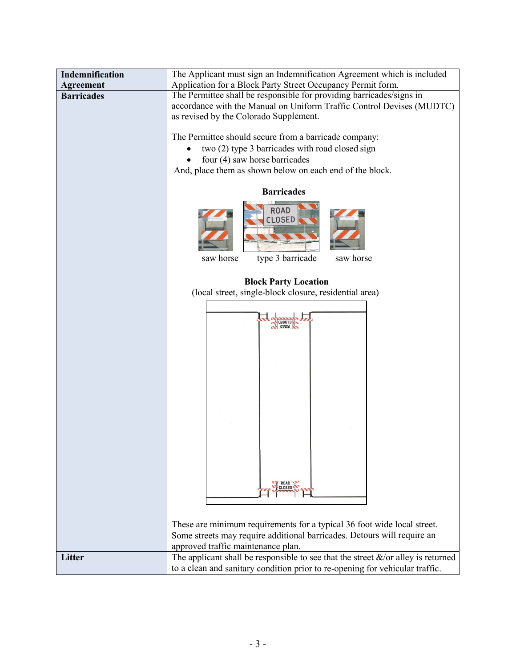| Indemnification   | The Applicant must sign an Indemnification Agreement which is included                                                                                                                   |  |  |
|-------------------|------------------------------------------------------------------------------------------------------------------------------------------------------------------------------------------|--|--|
| <b>Agreement</b>  | Application for a Block Party Street Occupancy Permit form.                                                                                                                              |  |  |
| <b>Barricades</b> | The Permittee shall be responsible for providing barricades/signs in                                                                                                                     |  |  |
|                   | accordance with the Manual on Uniform Traffic Control Devises (MUDTC)                                                                                                                    |  |  |
|                   | as revised by the Colorado Supplement.                                                                                                                                                   |  |  |
|                   | The Permittee should secure from a barricade company:                                                                                                                                    |  |  |
|                   | two (2) type 3 barricades with road closed sign                                                                                                                                          |  |  |
|                   | four (4) saw horse barricades                                                                                                                                                            |  |  |
|                   | And, place them as shown below on each end of the block.                                                                                                                                 |  |  |
|                   | <b>Barricades</b>                                                                                                                                                                        |  |  |
|                   | <b>ROAD</b><br><b>CLOSED</b><br>saw horse<br>type 3 barricade<br>saw horse                                                                                                               |  |  |
|                   | <b>Block Party Location</b><br>(local street, single-block closure, residential area)                                                                                                    |  |  |
|                   |                                                                                                                                                                                          |  |  |
|                   |                                                                                                                                                                                          |  |  |
|                   |                                                                                                                                                                                          |  |  |
|                   |                                                                                                                                                                                          |  |  |
|                   |                                                                                                                                                                                          |  |  |
|                   |                                                                                                                                                                                          |  |  |
|                   |                                                                                                                                                                                          |  |  |
|                   |                                                                                                                                                                                          |  |  |
|                   |                                                                                                                                                                                          |  |  |
|                   |                                                                                                                                                                                          |  |  |
|                   |                                                                                                                                                                                          |  |  |
|                   |                                                                                                                                                                                          |  |  |
|                   |                                                                                                                                                                                          |  |  |
|                   | <b>ROAD</b><br><b>CLOSED</b>                                                                                                                                                             |  |  |
|                   |                                                                                                                                                                                          |  |  |
|                   |                                                                                                                                                                                          |  |  |
|                   | These are minimum requirements for a typical 36 foot wide local street.<br>Some streets may require additional barricades. Detours will require an<br>approved traffic maintenance plan. |  |  |
|                   |                                                                                                                                                                                          |  |  |
|                   |                                                                                                                                                                                          |  |  |
| Litter            | The applicant shall be responsible to see that the street $\&$ /or alley is returned                                                                                                     |  |  |
|                   | to a clean and sanitary condition prior to re-opening for vehicular traffic.                                                                                                             |  |  |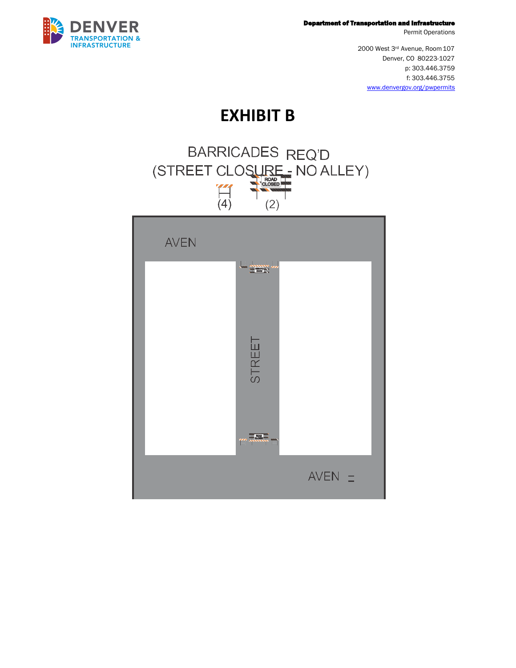

Department of Transportation and Infrastructure

Permit Operations

2000 West 3rd Avenue, Room 107 Denver, CO 80223-1027 p: 303.446.3759 f: 303.446.3755 [www.denvergov.org/pwpermits](http://www.denvergov.org/pwpermits)

### **EXHIBIT B**

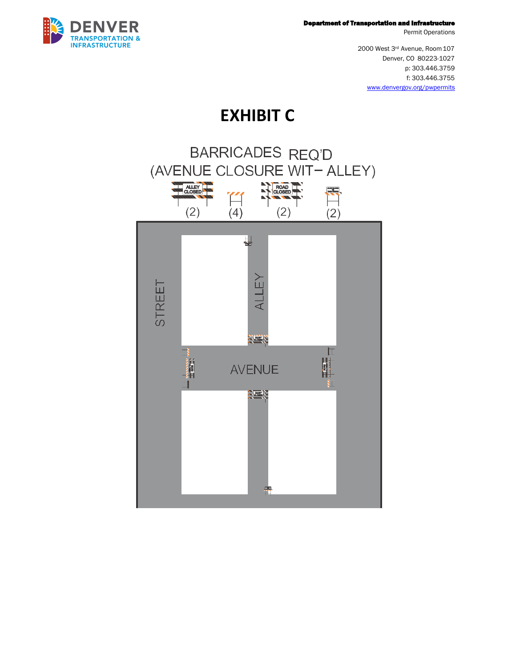

Department of Transportation and Infrastructure

Permit Operations

2000 West 3rd Avenue, Room 107 Denver, CO 80223-1027 p: 303.446.3759 f: 303.446.3755 [www.denvergov.org/pwpermits](http://www.denvergov.org/pwpermits)

## **EXHIBIT C**

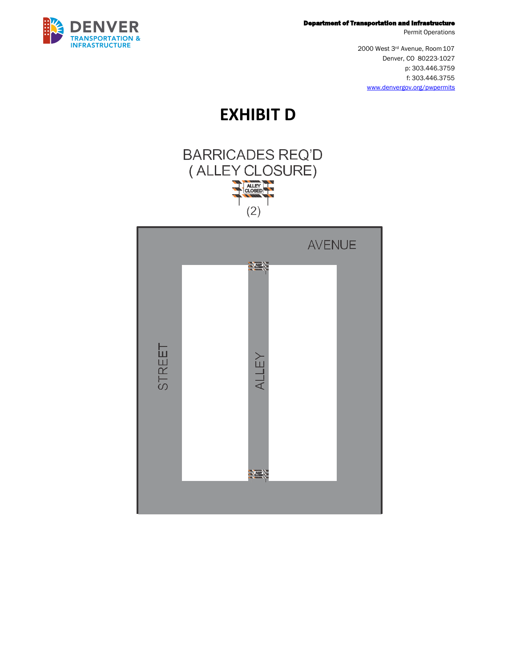

#### Department of Transportation and Infrastructure

Permit Operations

2000 West 3rd Avenue, Room 107 Denver, CO 80223-1027 p: 303.446.3759 f: 303.446.3755 [www.denvergov.org/pwpermits](http://www.denvergov.org/pwpermits)

**EXHIBIT D**



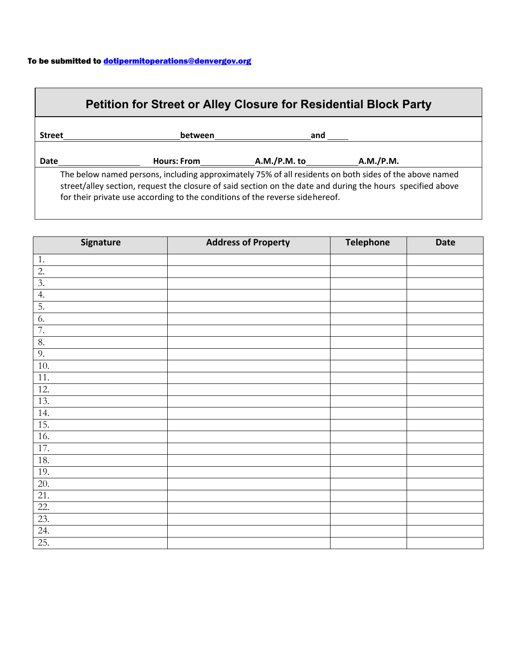#### To be submitted to **dotipermitoperations@denvergov.org**

| <b>Petition for Street or Alley Closure for Residential Block Party</b> |                                                                               |              |                                                                                                                                                                                                                      |
|-------------------------------------------------------------------------|-------------------------------------------------------------------------------|--------------|----------------------------------------------------------------------------------------------------------------------------------------------------------------------------------------------------------------------|
| <b>Street</b>                                                           | between                                                                       | and          |                                                                                                                                                                                                                      |
| Date                                                                    | <b>Hours: From</b>                                                            | A.M./P.M. to | A.M./P.M.                                                                                                                                                                                                            |
|                                                                         | for their private use according to the conditions of the reverse side hereof. |              | The below named persons, including approximately 75% of all residents on both sides of the above named<br>street/alley section, request the closure of said section on the date and during the hours specified above |

| Signature        | <b>Address of Property</b> | <b>Telephone</b> | <b>Date</b> |
|------------------|----------------------------|------------------|-------------|
| 1.               |                            |                  |             |
| 2.               |                            |                  |             |
| $\overline{3}$ . |                            |                  |             |
| 4.               |                            |                  |             |
| $\overline{5}$ . |                            |                  |             |
| 6.               |                            |                  |             |
| 7.               |                            |                  |             |
| 8.               |                            |                  |             |
| 9.               |                            |                  |             |
| 10.              |                            |                  |             |
| 11.              |                            |                  |             |
| 12.              |                            |                  |             |
| 13.              |                            |                  |             |
| 14.              |                            |                  |             |
| 15.              |                            |                  |             |
| 16.              |                            |                  |             |
| 17.              |                            |                  |             |
| 18.              |                            |                  |             |
| 19.              |                            |                  |             |
| 20.              |                            |                  |             |
| 21.              |                            |                  |             |
| 22.              |                            |                  |             |
| 23.              |                            |                  |             |
| 24.              |                            |                  |             |
| 25.              |                            |                  |             |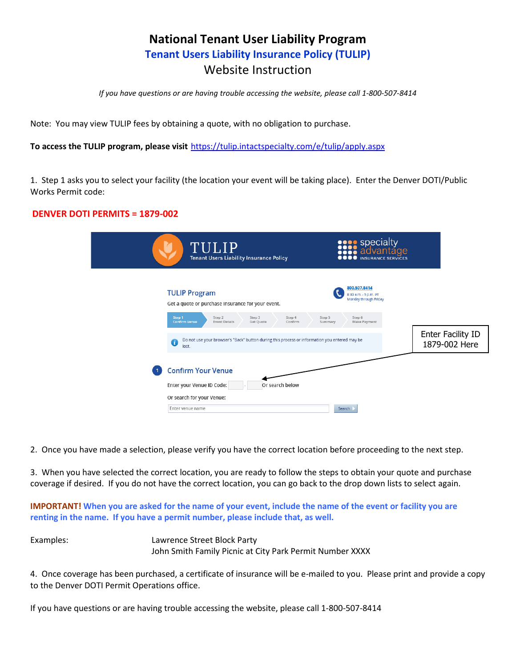### **National Tenant User Liability Program Tenant Users Liability Insurance Policy (TULIP)** Website Instruction

*If you have questions or are having trouble accessing the website, please call 1-800-507-8414*

Note: You may view TULIP fees by obtaining a quote, with no obligation to purchase.

**To access the TULIP program, please visit** https://tulip.intactspecialty.com/e/tulip/apply.aspx

1. Step 1 asks you to select your facility (the location your event will be taking place). Enter the Denver DOTI/Public Works Permit code:

#### **DENVER DOTI PERMITS = 1879-002**

| TULIP<br><b>Tenant Users Liability Insurance Policy</b>                                                                                                                             | <b>SALE SPECIALLY</b><br><b>SALE SPECIALLY</b><br><b>OOO</b> INSURANCE SERVICES    |                                    |
|-------------------------------------------------------------------------------------------------------------------------------------------------------------------------------------|------------------------------------------------------------------------------------|------------------------------------|
| <b>TULIP Program</b><br>Get a quote or purchase insurance for your event.<br>Step 1<br>Step 4<br>Step 2<br>Step 3                                                                   | 800.507.8414<br>8:30 a.m. - 5 p.m. PT<br>Monday through Friday<br>Step 5<br>Step 6 |                                    |
| <b>Confirm Venue</b><br><b>Event Details</b><br>Confirm<br>Get Quote<br>Do not use your browser's "Back" button during this process or information you entered may be<br>a<br>lost. | Make Payment<br>Summary                                                            | Enter Facility ID<br>1879-002 Here |
| <b>Confirm Your Venue</b><br>Enter your Venue ID Code:<br>Or search below<br>Or search for your Venue:<br>Enter venue name                                                          | Search                                                                             |                                    |

2. Once you have made a selection, please verify you have the correct location before proceeding to the next step.

3. When you have selected the correct location, you are ready to follow the steps to obtain your quote and purchase coverage if desired. If you do not have the correct location, you can go back to the drop down lists to select again.

**IMPORTANT! When you are asked for the name of your event, include the name of the event or facility you are renting in the name. If you have a permit number, please include that, as well.**

Examples: Lawrence Street Block Party John Smith Family Picnic at City Park Permit Number XXXX

4. Once coverage has been purchased, a certificate of insurance will be e-mailed to you. Please print and provide a copy to the Denver DOTI Permit Operations office.

If you have questions or are having trouble accessing the website, please call 1-800-507-8414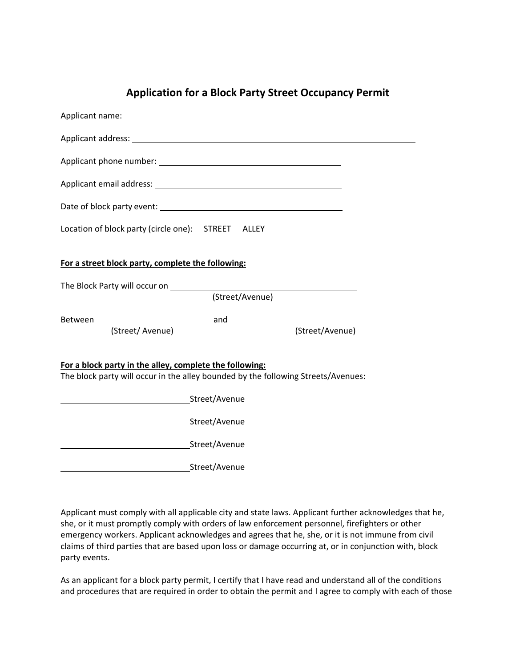| Location of block party (circle one): STREET ALLEY                                                                                           |  |  |
|----------------------------------------------------------------------------------------------------------------------------------------------|--|--|
| For a street block party, complete the following:                                                                                            |  |  |
|                                                                                                                                              |  |  |
| (Street/Avenue)                                                                                                                              |  |  |
|                                                                                                                                              |  |  |
| (Street/Avenue)<br>(Street/Avenue)                                                                                                           |  |  |
| For a block party in the alley, complete the following:<br>The block party will occur in the alley bounded by the following Streets/Avenues: |  |  |
|                                                                                                                                              |  |  |
| Street/Avenue                                                                                                                                |  |  |
|                                                                                                                                              |  |  |
| <b>Street/Avenue</b>                                                                                                                         |  |  |

Applicant must comply with all applicable city and state laws. Applicant further acknowledges that he, she, or it must promptly comply with orders of law enforcement personnel, firefighters or other emergency workers. Applicant acknowledges and agrees that he, she, or it is not immune from civil claims of third parties that are based upon loss or damage occurring at, or in conjunction with, block party events.

As an applicant for a block party permit, I certify that I have read and understand all of the conditions and procedures that are required in order to obtain the permit and I agree to comply with each of those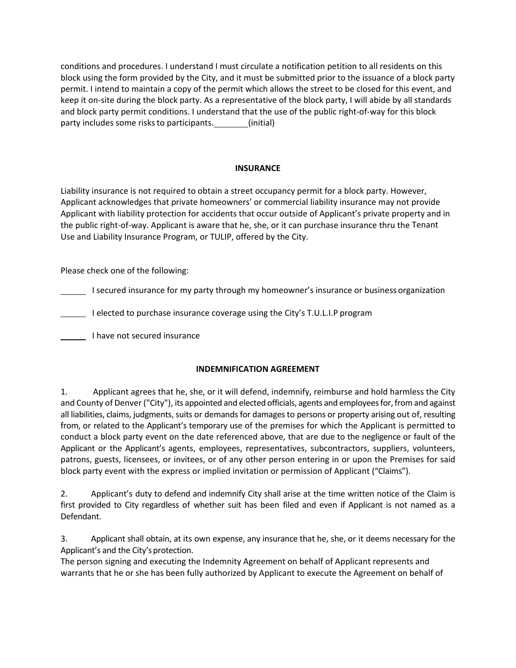conditions and procedures. I understand I must circulate a notification petition to all residents on this block using the form provided by the City, and it must be submitted prior to the issuance of a block party permit. I intend to maintain a copy of the permit which allows the street to be closed for this event, and keep it on-site during the block party. As a representative of the block party, I will abide by all standards and block party permit conditions. I understand that the use of the public right-of-way for this block party includes some risks to participants. [[Initial]

#### **INSURANCE**

Liability insurance is not required to obtain a street occupancy permit for a block party. However, Applicant acknowledges that private homeowners' or commercial liability insurance may not provide Applicant with liability protection for accidents that occur outside of Applicant's private property and in the public right-of-way. Applicant is aware that he, she, or it can purchase insurance thru the Tenant Use and Liability Insurance Program, or TULIP, offered by the City.

Please check one of the following:

I secured insurance for my party through my homeowner's insurance or business organization

I elected to purchase insurance coverage using the City's T.U.L.I.P program

I have not secured insurance

#### **INDEMNIFICATION AGREEMENT**

1. Applicant agrees that he, she, or it will defend, indemnify, reimburse and hold harmless the City and County of Denver ("City"), its appointed and elected officials, agents and employees for, from and against all liabilities, claims, judgments, suits or demands for damages to persons or property arising out of, resulting from, or related to the Applicant's temporary use of the premises for which the Applicant is permitted to conduct a block party event on the date referenced above, that are due to the negligence or fault of the Applicant or the Applicant's agents, employees, representatives, subcontractors, suppliers, volunteers, patrons, guests, licensees, or invitees, or of any other person entering in or upon the Premises for said block party event with the express or implied invitation or permission of Applicant ("Claims").

2. Applicant's duty to defend and indemnify City shall arise at the time written notice of the Claim is first provided to City regardless of whether suit has been filed and even if Applicant is not named as a Defendant.

3. Applicant shall obtain, at its own expense, any insurance that he, she, or it deems necessary for the Applicant's and the City's protection.

The person signing and executing the Indemnity Agreement on behalf of Applicant represents and warrants that he or she has been fully authorized by Applicant to execute the Agreement on behalf of